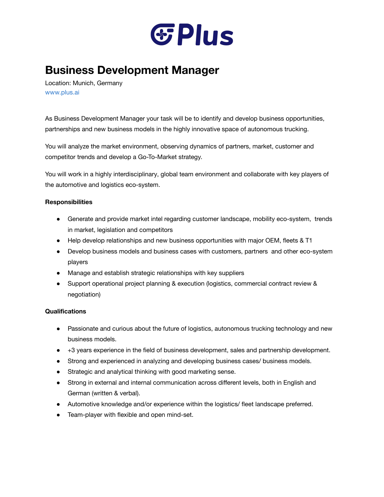

## **Business Development Manager**

Location: Munich, Germany [www.plus.ai](http://www.plus.ai/)

As Business Development Manager your task will be to identify and develop business opportunities, partnerships and new business models in the highly innovative space of autonomous trucking.

You will analyze the market environment, observing dynamics of partners, market, customer and competitor trends and develop a Go-To-Market strategy.

You will work in a highly interdisciplinary, global team environment and collaborate with key players of the automotive and logistics eco-system.

## **Responsibilities**

- Generate and provide market intel regarding customer landscape, mobility eco-system, trends in market, legislation and competitors
- Help develop relationships and new business opportunities with major OEM, fleets & T1
- Develop business models and business cases with customers, partners and other eco-system players
- Manage and establish strategic relationships with key suppliers
- Support operational project planning & execution (logistics, commercial contract review & negotiation)

## **Qualifications**

- Passionate and curious about the future of logistics, autonomous trucking technology and new business models.
- +3 years experience in the field of business development, sales and partnership development.
- Strong and experienced in analyzing and developing business cases/ business models.
- Strategic and analytical thinking with good marketing sense.
- Strong in external and internal communication across different levels, both in English and German (written & verbal).
- Automotive knowledge and/or experience within the logistics/ fleet landscape preferred.
- Team-player with flexible and open mind-set.